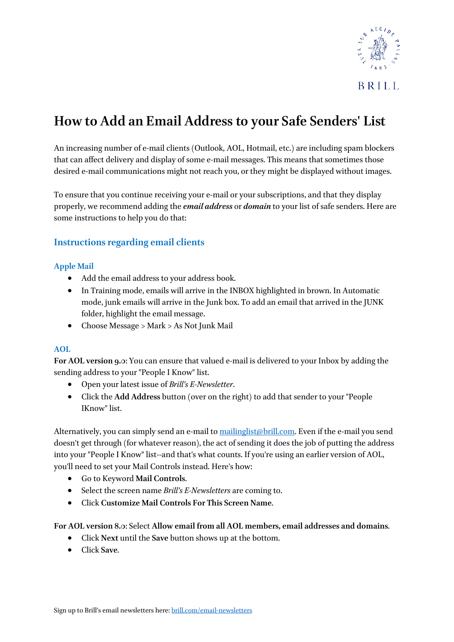

# **How to Add an Email Address to your Safe Senders' List**

An increasing number of e-mail clients (Outlook, AOL, Hotmail, etc.) are including spam blockers that can affect delivery and display of some e-mail messages. This means that sometimes those desired e-mail communications might not reach you, or they might be displayed without images.

To ensure that you continue receiving your e-mail or your subscriptions, and that they display properly, we recommend adding the *email address* or *domain* to your list of safe senders. Here are some instructions to help you do that:

# **Instructions regarding email clients**

#### **Apple Mail**

- Add the email address to your address book.
- In Training mode, emails will arrive in the INBOX highlighted in brown. In Automatic mode, junk emails will arrive in the Junk box. To add an email that arrived in the JUNK folder, highlight the email message.
- Choose Message > Mark > As Not Junk Mail

#### **AOL**

**For AOL version 9.0**: You can ensure that valued e-mail is delivered to your Inbox by adding the sending address to your "People I Know" list.

- Open your latest issue of *Brill's E-Newsletter*.
- Click the **Add Address** button (over on the right) to add that sender to your "People IKnow" list.

Alternatively, you can simply send an e-mail to [mailinglist@brill.com.](mailto:mailinglist@brill.com) Even if the e-mail you send doesn't get through (for whatever reason), the act of sending it does the job of putting the address into your "People I Know" list--and that's what counts. If you're using an earlier version of AOL, you'll need to set your Mail Controls instead. Here's how:

- Go to Keyword **Mail Controls**.
- Select the screen name *Brill's E-Newsletters* are coming to.
- Click **Customize Mail Controls For This Screen Name**.

**For AOL version 8.0**: Select **Allow email from all AOL members, email addresses and domains**.

- Click **Next** until the **Save** button shows up at the bottom.
- Click **Save**.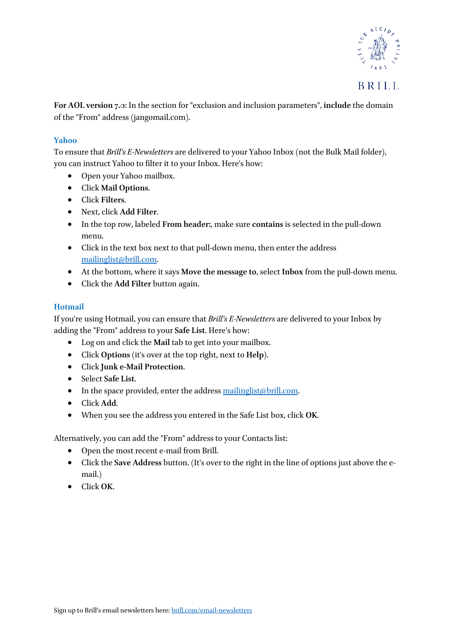

**For AOL version 7.0**: In the section for "exclusion and inclusion parameters", **include** the domain of the "From" address (jangomail.com).

#### **Yahoo**

To ensure that *Brill's E-Newsletters* are delivered to your Yahoo Inbox (not the Bulk Mail folder), you can instruct Yahoo to filter it to your Inbox. Here's how:

- Open your Yahoo mailbox.
- Click **Mail Options**.
- Click **Filters**.
- Next, click **Add Filter**.
- In the top row, labeled **From header:**, make sure **contains** is selected in the pull-down menu.
- Click in the text box next to that pull-down menu, then enter the address [mailinglist@brill.com.](mailto:mailinglist@brill.com)
- At the bottom, where it says **Move the message to**, select **Inbox** from the pull-down menu.
- Click the **Add Filter** button again.

# **Hotmail**

If you're using Hotmail, you can ensure that *Brill's E-Newsletters* are delivered to your Inbox by adding the "From" address to your **Safe List**. Here's how:

- Log on and click the **Mail** tab to get into your mailbox.
- Click **Options** (it's over at the top right, next to **Help**).
- Click **Junk e-Mail Protection**.
- Select **Safe List**.
- In the space provided, enter the address  $\frac{\text{mailinglist}}{\text{obj}(1)}$ .com.
- Click **Add**.
- When you see the address you entered in the Safe List box, click **OK**.

Alternatively, you can add the "From" address to your Contacts list:

- Open the most recent e-mail from Brill.
- Click the **Save Address** button. (It's over to the right in the line of options just above the email.)
- Click **OK**.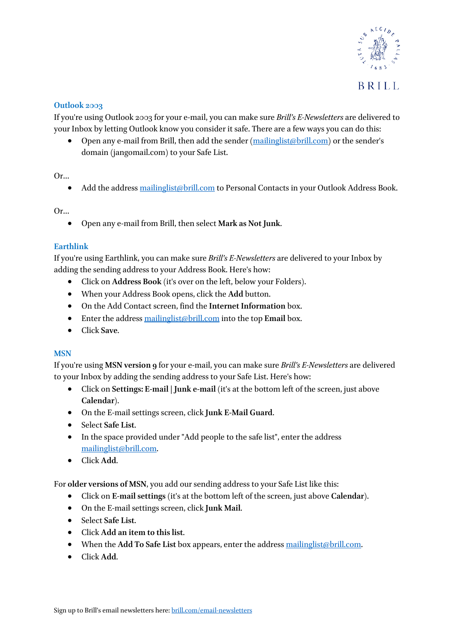

# **Outlook 2003**

If you're using Outlook 2003 for your e-mail, you can make sure *Brill's E-Newsletters* are delivered to your Inbox by letting Outlook know you consider it safe. There are a few ways you can do this:

• Open any e-mail from Brill, then add the sender [\(mailinglist@brill.com\)](mailto:mailinglist@brill.com) or the sender's domain (jangomail.com) to your Safe List.

#### Or…

• Add the address [mailinglist@brill.com](mailto:mailinglist@brill.com) to Personal Contacts in your Outlook Address Book.

Or…

• Open any e-mail from Brill, then select **Mark as Not Junk**.

# **Earthlink**

If you're using Earthlink, you can make sure *Brill's E-Newsletters* are delivered to your Inbox by adding the sending address to your Address Book. Here's how:

- Click on **Address Book** (it's over on the left, below your Folders).
- When your Address Book opens, click the **Add** button.
- On the Add Contact screen, find the **Internet Information** box.
- Enter the address [mailinglist@brill.com](mailto:mailinglist@brill.com) into the top **Email** box.
- Click **Save**.

# **MSN**

If you're using **MSN version 9** for your e-mail, you can make sure *Brill's E-Newsletters* are delivered to your Inbox by adding the sending address to your Safe List. Here's how:

- Click on **Settings: E-mail | Junk e-mail** (it's at the bottom left of the screen, just above **Calendar**).
- On the E-mail settings screen, click **Junk E-Mail Guard**.
- Select **Safe List**.
- In the space provided under "Add people to the safe list", enter the address [mailinglist@brill.com.](mailto:mailinglist@brill.com)
- Click **Add**.

For **older versions of MSN**, you add our sending address to your Safe List like this:

- Click on **E-mail settings** (it's at the bottom left of the screen, just above **Calendar**).
- On the E-mail settings screen, click **Junk Mail**.
- Select **Safe List**.
- Click **Add an item to this list**.
- When the **Add To Safe List** box appears, enter the address [mailinglist@brill.com.](mailto:mailinglist@brill.com)
- Click **Add**.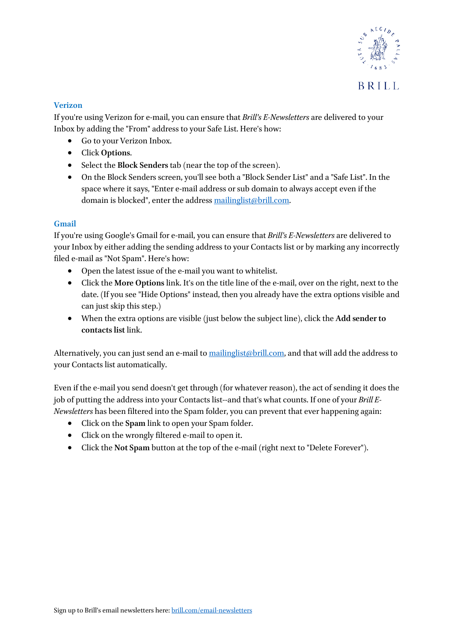

#### **Verizon**

If you're using Verizon for e-mail, you can ensure that *Brill's E-Newsletters* are delivered to your Inbox by adding the "From" address to your Safe List. Here's how:

- Go to your Verizon Inbox.
- Click **Options**.
- Select the **Block Senders** tab (near the top of the screen).
- On the Block Senders screen, you'll see both a "Block Sender List" and a "Safe List". In the space where it says, "Enter e-mail address or sub domain to always accept even if the domain is blocked", enter the address mailinglist@brill.com.

#### **Gmail**

If you're using Google's Gmail for e-mail, you can ensure that *Brill's E-Newsletters* are delivered to your Inbox by either adding the sending address to your Contacts list or by marking any incorrectly filed e-mail as "Not Spam". Here's how:

- Open the latest issue of the e-mail you want to whitelist.
- Click the **More Options** link. It's on the title line of the e-mail, over on the right, next to the date. (If you see "Hide Options" instead, then you already have the extra options visible and can just skip this step.)
- When the extra options are visible (just below the subject line), click the **Add sender to contacts list** link.

Alternatively, you can just send an e-mail to [mailinglist@brill.com,](mailto:mailinglist@brill.com) and that will add the address to your Contacts list automatically.

Even if the e-mail you send doesn't get through (for whatever reason), the act of sending it does the job of putting the address into your Contacts list--and that's what counts. If one of your *Brill E-Newsletters* has been filtered into the Spam folder, you can prevent that ever happening again:

- Click on the **Spam** link to open your Spam folder.
- Click on the wrongly filtered e-mail to open it.
- Click the **Not Spam** button at the top of the e-mail (right next to "Delete Forever").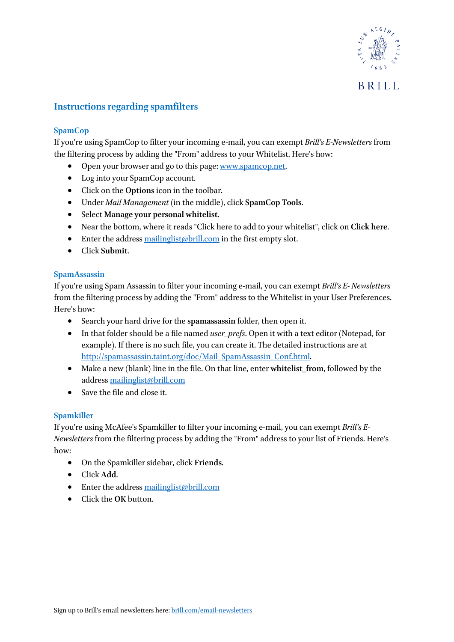

# **Instructions regarding spamfilters**

#### **SpamCop**

If you're using SpamCop to filter your incoming e-mail, you can exempt *Brill's E-Newsletters* from the filtering process by adding the "From" address to your Whitelist. Here's how:

- Open your browser and go to this page[: www.spamcop.net.](http://www.spamcop.net/)
- Log into your SpamCop account.
- Click on the **Options** icon in the toolbar.
- Under *Mail Management* (in the middle), click **SpamCop Tools**.
- Select **Manage your personal whitelist**.
- Near the bottom, where it reads "Click here to add to your whitelist", click on **Click here**.
- Enter the address [mailinglist@brill.com](mailto:mailinglist@brill.com) in the first empty slot.
- Click **Submit**.

#### **SpamAssassin**

If you're using Spam Assassin to filter your incoming e-mail, you can exempt *Brill's E- Newsletters*  from the filtering process by adding the "From" address to the Whitelist in your User Preferences. Here's how:

- Search your hard drive for the **spamassassin** folder, then open it.
- In that folder should be a file named *user prefs*. Open it with a text editor (Notepad, for example). If there is no such file, you can create it. The detailed instructions are at [http://spamassassin.taint.org/doc/Mail\\_SpamAssassin\\_Conf.html.](http://spamassassin.taint.org/doc/Mail_SpamAssassin_Conf.html)
- Make a new (blank) line in the file. On that line, enter **whitelist\_from**, followed by the address [mailinglist@brill.com](mailto:mailinglist@brill.com)
- Save the file and close it.

#### **Spamkiller**

If you're using McAfee's Spamkiller to filter your incoming e-mail, you can exempt *Brill's E-Newsletters* from the filtering process by adding the "From" address to your list of Friends. Here's how:

- On the Spamkiller sidebar, click **Friends**.
- Click **Add**.
- Enter the address [mailinglist@brill.com](mailto:mailinglist@brill.com)
- Click the **OK** button.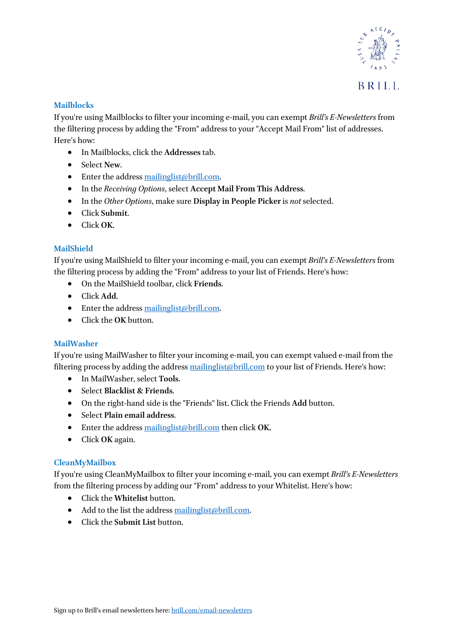

#### **Mailblocks**

If you're using Mailblocks to filter your incoming e-mail, you can exempt *Brill's E-Newsletters* from the filtering process by adding the "From" address to your "Accept Mail From" list of addresses. Here's how:

- In Mailblocks, click the **Addresses** tab.
- Select **New**.
- Enter the address [mailinglist@brill.com.](mailto:mailinglist@brill.com)
- In the *Receiving Options*, select **Accept Mail From This Address**.
- In the *Other Options*, make sure **Display in People Picker** is *not* selected.
- Click **Submit**.
- Click **OK**.

# **MailShield**

If you're using MailShield to filter your incoming e-mail, you can exempt *Brill's E-Newsletters* from the filtering process by adding the "From" address to your list of Friends. Here's how:

- On the MailShield toolbar, click **Friends**.
- Click **Add**.
- Enter the address [mailinglist@brill.com.](mailto:mailinglist@brill.com)
- Click the **OK** button.

# **MailWasher**

If you're using MailWasher to filter your incoming e-mail, you can exempt valued e-mail from the filtering process by adding the address [mailinglist@brill.com](mailto:mailinglist@brill.com) to your list of Friends. Here's how:

- In MailWasher, select **Tools**.
- Select **Blacklist & Friends**.
- On the right-hand side is the "Friends" list. Click the Friends **Add** button.
- Select **Plain email address**.
- Enter the address [mailinglist@brill.com](mailto:mailinglist@brill.com) then click **OK.**
- Click **OK** again.

# **CleanMyMailbox**

If you're using CleanMyMailbox to filter your incoming e-mail, you can exempt *Brill's E-Newsletters*  from the filtering process by adding our "From" address to your Whitelist. Here's how:

- Click the **Whitelist** button.
- Add to the list the addres[s mailinglist@brill.com.](mailto:mailinglist@brill.com)
- Click the **Submit List** button.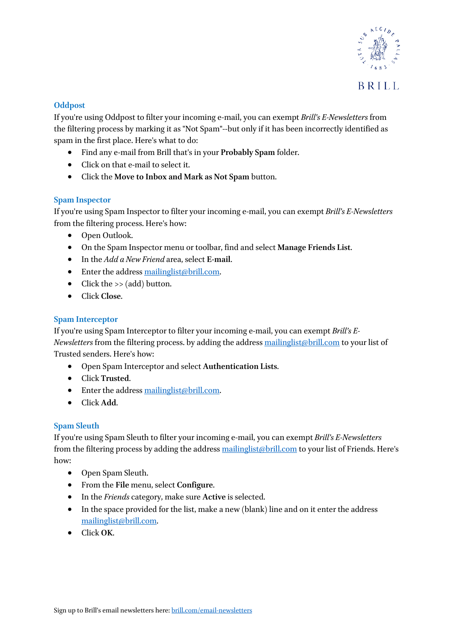

#### **Oddpost**

If you're using Oddpost to filter your incoming e-mail, you can exempt *Brill's E-Newsletters* from the filtering process by marking it as "Not Spam"--but only if it has been incorrectly identified as spam in the first place. Here's what to do:

- Find any e-mail from Brill that's in your **Probably Spam** folder.
- Click on that e-mail to select it.
- Click the **Move to Inbox and Mark as Not Spam** button.

#### **Spam Inspector**

If you're using Spam Inspector to filter your incoming e-mail, you can exempt *Brill's E-Newsletters*  from the filtering process. Here's how:

- Open Outlook.
- On the Spam Inspector menu or toolbar, find and select **Manage Friends List**.
- In the *Add a New Friend* area, select **E-mail**.
- Enter the address [mailinglist@brill.com.](mailto:mailinglist@brill.com)
- Click the  $\ge$  (add) button.
- Click **Close**.

### **Spam Interceptor**

If you're using Spam Interceptor to filter your incoming e-mail, you can exempt *Brill's E-Newsletters* from the filtering process. by adding the address [mailinglist@brill.com](mailto:mailinglist@brill.com) to your list of Trusted senders. Here's how:

- Open Spam Interceptor and select **Authentication Lists**.
- Click **Trusted**.
- Enter the address [mailinglist@brill.com.](mailto:mailinglist@brill.com)
- Click **Add**.

# **Spam Sleuth**

If you're using Spam Sleuth to filter your incoming e-mail, you can exempt *Brill's E-Newsletters*  from the filtering process by adding the address [mailinglist@brill.com](mailto:mailinglist@brill.com) to your list of Friends. Here's how:

- Open Spam Sleuth.
- From the **File** menu, select **Configure**.
- In the *Friends* category, make sure **Active** is selected.
- In the space provided for the list, make a new (blank) line and on it enter the address [mailinglist@brill.com.](mailto:mailinglist@brill.com)
- Click **OK**.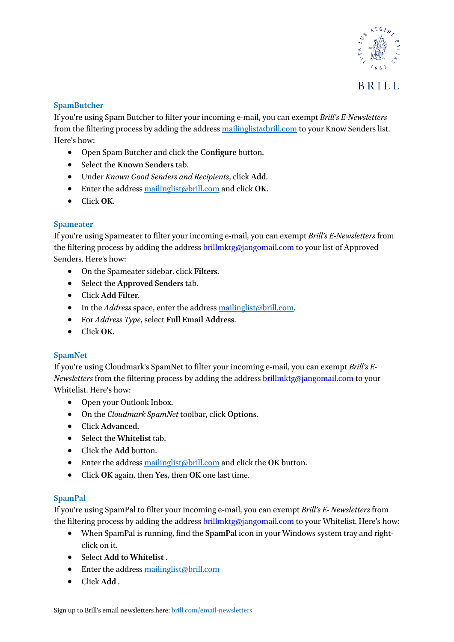

#### **SpamButcher**

If you're using Spam Butcher to filter your incoming e-mail, you can exempt *Brill's E-Newsletters*  from the filtering process by adding the address [mailinglist@brill.com](mailto:mailinglist@brill.com) to your Know Senders list. Here's how:

- Open Spam Butcher and click the **Configure** button.
- Select the **Known Senders** tab.
- Under *Known Good Senders and Recipients*, click **Add**.
- Enter the address [mailinglist@brill.com](mailto:mailinglist@brill.com) and click **OK**.
- Click **OK**.

#### **Spameater**

If you're using Spameater to filter your incoming e-mail, you can exempt *Brill's E-Newsletters* from the filtering process by adding the address brillmktg@jangomail.com to your list of Approved Senders. Here's how:

- On the Spameater sidebar, click **Filters**.
- Select the **Approved Senders** tab.
- Click **Add Filter**.
- In the *Address* space, enter the addres[s mailinglist@brill.com.](mailto:mailinglist@brill.com)
- For *Address Type*, select **Full Email Address**.
- Click **OK**.

# **SpamNet**

If you're using Cloudmark's SpamNet to filter your incoming e-mail, you can exempt *Brill's E-Newsletters* from the filtering process by adding the address brillmktg@jangomail.com to your Whitelist. Here's how:

- Open your Outlook Inbox.
- On the *Cloudmark SpamNet* toolbar, click **Options**.
- Click **Advanced**.
- Select the **Whitelist** tab.
- Click the **Add** button.
- Enter the address [mailinglist@brill.com](mailto:mailinglist@brill.com) and click the **OK** button.
- Click **OK** again, then **Yes**, then **OK** one last time.

# **SpamPal**

If you're using SpamPal to filter your incoming e-mail, you can exempt *Brill's E- Newsletters* from the filtering process by adding the address brillmktg@jangomail.com to your Whitelist. Here's how:

- When SpamPal is running, find the **SpamPal** icon in your Windows system tray and rightclick on it.
- Select **Add to Whitelist** .
- Enter the address [mailinglist@brill.com](mailto:mailinglist@brill.com)
- Click **Add** .